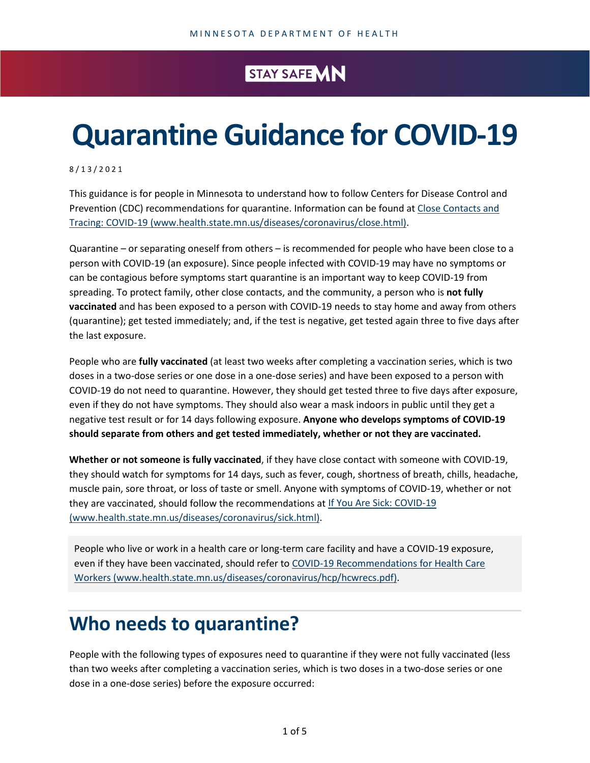#### STAY SAFE **MN**

# **Quarantine Guidance for COVID-19**

8 / 1 3 / 202 1

This guidance is for people in Minnesota to understand how to follow Centers for Disease Control and Prevention (CDC) recommendations for quarantine. Information can be found a[t Close Contacts and](https://www.health.state.mn.us/diseases/coronavirus/close.html)  [Tracing: COVID-19 \(www.health.state.mn.us/diseases/coronavirus/close.html\).](https://www.health.state.mn.us/diseases/coronavirus/close.html)

Quarantine – or separating oneself from others – is recommended for people who have been close to a person with COVID-19 (an exposure). Since people infected with COVID-19 may have no symptoms or can be contagious before symptoms start quarantine is an important way to keep COVID-19 from spreading. To protect family, other close contacts, and the community, a person who is **not fully vaccinated** and has been exposed to a person with COVID-19 needs to stay home and away from others (quarantine); get tested immediately; and, if the test is negative, get tested again three to five days after the last exposure.

People who are **fully vaccinated** (at least two weeks after completing a vaccination series, which is two doses in a two-dose series or one dose in a one-dose series) and have been exposed to a person with COVID-19 do not need to quarantine. However, they should get tested three to five days after exposure, even if they do not have symptoms. They should also wear a mask indoors in public until they get a negative test result or for 14 days following exposure. **Anyone who develops symptoms of COVID-19 should separate from others and get tested immediately, whether or not they are vaccinated.**

**Whether or not someone is fully vaccinated**, if they have close contact with someone with COVID-19, they should watch for symptoms for 14 days, such as fever, cough, shortness of breath, chills, headache, muscle pain, sore throat, or loss of taste or smell. Anyone with symptoms of COVID-19, whether or not they are vaccinated, should follow the recommendations at [If You Are Sick: COVID-19](https://www.health.state.mn.us/diseases/coronavirus/sick.html)  [\(www.health.state.mn.us/diseases/coronavirus/sick.html\).](https://www.health.state.mn.us/diseases/coronavirus/sick.html)

People who live or work in a health care or long-term care facility and have a COVID-19 exposure, even if they have been vaccinated, should refer to [COVID-19 Recommendations for Health Care](https://www.health.state.mn.us/diseases/coronavirus/hcp/hcwrecs.pdf)  [Workers \(www.health.state.mn.us/diseases/coronavirus/hcp/hcwrecs.pdf\).](https://www.health.state.mn.us/diseases/coronavirus/hcp/hcwrecs.pdf)

## **Who needs to quarantine?**

People with the following types of exposures need to quarantine if they were not fully vaccinated (less than two weeks after completing a vaccination series, which is two doses in a two-dose series or one dose in a one-dose series) before the exposure occurred: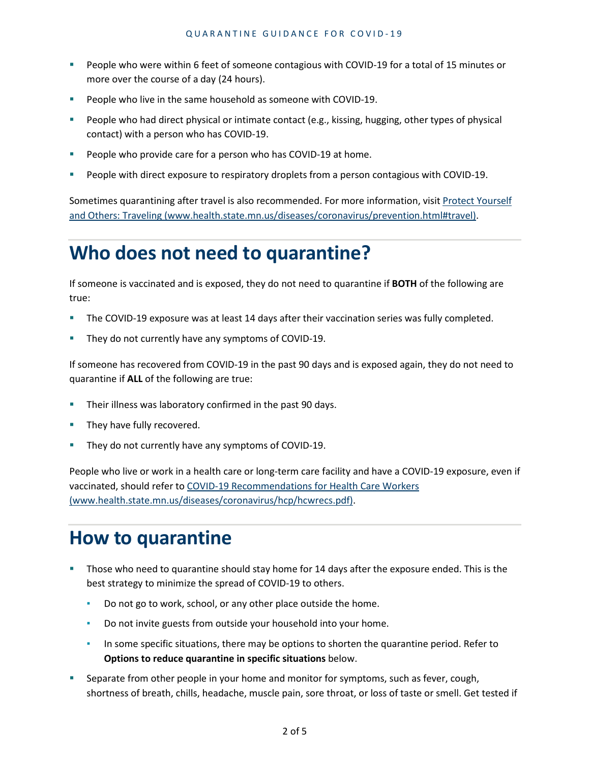- People who were within 6 feet of someone contagious with COVID-19 for a total of 15 minutes or more over the course of a day (24 hours).
- People who live in the same household as someone with COVID-19.
- People who had direct physical or intimate contact (e.g., kissing, hugging, other types of physical contact) with a person who has COVID-19.
- People who provide care for a person who has COVID-19 at home.
- People with direct exposure to respiratory droplets from a person contagious with COVID-19.

Sometimes quarantining after travel is also recommended. For more information, visit Protect Yourself [and Others: Traveling \(www.health.state.mn.us/diseases/coronavirus/prevention.html#travel\).](https://www.health.state.mn.us/diseases/coronavirus/prevention.html#travel)

## **Who does not need to quarantine?**

If someone is vaccinated and is exposed, they do not need to quarantine if **BOTH** of the following are true:

- The COVID-19 exposure was at least 14 days after their vaccination series was fully completed.
- They do not currently have any symptoms of COVID-19.

If someone has recovered from COVID-19 in the past 90 days and is exposed again, they do not need to quarantine if **ALL** of the following are true:

- Their illness was laboratory confirmed in the past 90 days.
- They have fully recovered.
- They do not currently have any symptoms of COVID-19.

People who live or work in a health care or long-term care facility and have a COVID-19 exposure, even if vaccinated, should refer to [COVID-19 Recommendations for Health Care Workers](https://www.health.state.mn.us/diseases/coronavirus/hcp/hcwrecs.pdf)  [\(www.health.state.mn.us/diseases/coronavirus/hcp/hcwrecs.pdf\).](https://www.health.state.mn.us/diseases/coronavirus/hcp/hcwrecs.pdf)

## **How to quarantine**

- Those who need to quarantine should stay home for 14 days after the exposure ended. This is the best strategy to minimize the spread of COVID-19 to others.
	- Do not go to work, school, or any other place outside the home.
	- Do not invite guests from outside your household into your home.
	- In some specific situations, there may be options to shorten the quarantine period. Refer to **Options to reduce quarantine in specific situations** below.
- Separate from other people in your home and monitor for symptoms, such as fever, cough, shortness of breath, chills, headache, muscle pain, sore throat, or loss of taste or smell. Get tested if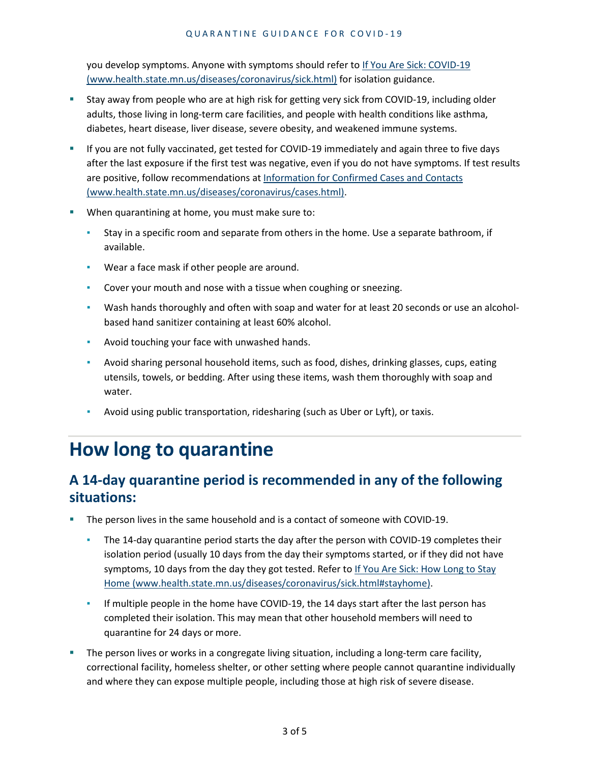#### QUARANTINE GUIDANCE FOR COVID-19

you develop symptoms. Anyone with symptoms should refer to [If You Are Sick: COVID-19](https://www.health.state.mn.us/diseases/coronavirus/sick.html)  [\(www.health.state.mn.us/diseases/coronavirus/sick.html\)](https://www.health.state.mn.us/diseases/coronavirus/sick.html) for isolation guidance.

- Stay away from people who are at high risk for getting very sick from COVID-19, including older adults, those living in long-term care facilities, and people with health conditions like asthma, diabetes, heart disease, liver disease, severe obesity, and weakened immune systems.
- If you are not fully vaccinated, get tested for COVID-19 immediately and again three to five days after the last exposure if the first test was negative, even if you do not have symptoms. If test results are positive, follow recommendations a[t Information for Confirmed Cases and Contacts](https://www.health.state.mn.us/diseases/coronavirus/cases.html)  [\(www.health.state.mn.us/diseases/coronavirus/cases.html\).](https://www.health.state.mn.us/diseases/coronavirus/cases.html)
- When quarantining at home, you must make sure to:
	- Stay in a specific room and separate from others in the home. Use a separate bathroom, if available.
	- Wear a face mask if other people are around.
	- Cover your mouth and nose with a tissue when coughing or sneezing.
	- Wash hands thoroughly and often with soap and water for at least 20 seconds or use an alcoholbased hand sanitizer containing at least 60% alcohol.
	- Avoid touching your face with unwashed hands.
	- **•** Avoid sharing personal household items, such as food, dishes, drinking glasses, cups, eating utensils, towels, or bedding. After using these items, wash them thoroughly with soap and water.
	- Avoid using public transportation, ridesharing (such as Uber or Lyft), or taxis.

## **How long to quarantine**

#### **A 14-day quarantine period is recommended in any of the following situations:**

- The person lives in the same household and is a contact of someone with COVID-19.
	- **•** The 14-day quarantine period starts the day after the person with COVID-19 completes their isolation period (usually 10 days from the day their symptoms started, or if they did not have symptoms, 10 days from the day they got tested. Refer to [If You Are Sick: How Long to Stay](https://www.health.state.mn.us/diseases/coronavirus/sick.html#stayhome)  [Home \(www.health.state.mn.us/diseases/coronavirus/sick.html#stayhome\).](https://www.health.state.mn.us/diseases/coronavirus/sick.html#stayhome)
	- **.** If multiple people in the home have COVID-19, the 14 days start after the last person has completed their isolation. This may mean that other household members will need to quarantine for 24 days or more.
- The person lives or works in a congregate living situation, including a long-term care facility, correctional facility, homeless shelter, or other setting where people cannot quarantine individually and where they can expose multiple people, including those at high risk of severe disease.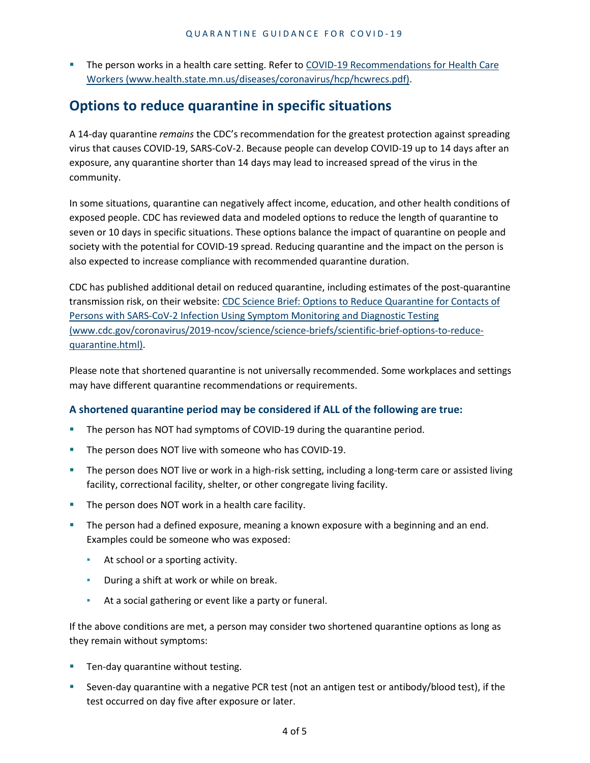The person works in a health care setting. Refer to [COVID-19 Recommendations for Health Care](https://www.health.state.mn.us/diseases/coronavirus/hcp/hcwrecs.pdf)  [Workers \(www.health.state.mn.us/diseases/coronavirus/hcp/hcwrecs.pdf\).](https://www.health.state.mn.us/diseases/coronavirus/hcp/hcwrecs.pdf)

#### **Options to reduce quarantine in specific situations**

A 14-day quarantine *remains* the CDC's recommendation for the greatest protection against spreading virus that causes COVID-19, SARS-CoV-2. Because people can develop COVID-19 up to 14 days after an exposure, any quarantine shorter than 14 days may lead to increased spread of the virus in the community.

In some situations, quarantine can negatively affect income, education, and other health conditions of exposed people. CDC has reviewed data and modeled options to reduce the length of quarantine to seven or 10 days in specific situations. These options balance the impact of quarantine on people and society with the potential for COVID-19 spread. Reducing quarantine and the impact on the person is also expected to increase compliance with recommended quarantine duration.

CDC has published additional detail on reduced quarantine, including estimates of the post-quarantine transmission risk, on their website[: CDC Science Brief: Options to Reduce Quarantine for Contacts of](https://www.cdc.gov/coronavirus/2019-ncov/science/science-briefs/scientific-brief-options-to-reduce-quarantine.html)  [Persons with SARS-CoV-2 Infection Using Symptom Monitoring and Diagnostic Testing](https://www.cdc.gov/coronavirus/2019-ncov/science/science-briefs/scientific-brief-options-to-reduce-quarantine.html)  [\(www.cdc.gov/coronavirus/2019-ncov/science/science-briefs/scientific-brief-options-to-reduce](https://www.cdc.gov/coronavirus/2019-ncov/science/science-briefs/scientific-brief-options-to-reduce-quarantine.html)[quarantine.html\).](https://www.cdc.gov/coronavirus/2019-ncov/science/science-briefs/scientific-brief-options-to-reduce-quarantine.html)

Please note that shortened quarantine is not universally recommended. Some workplaces and settings may have different quarantine recommendations or requirements.

#### **A shortened quarantine period may be considered if ALL of the following are true:**

- The person has NOT had symptoms of COVID-19 during the quarantine period.
- The person does NOT live with someone who has COVID-19.
- **The person does NOT live or work in a high-risk setting, including a long-term care or assisted living** facility, correctional facility, shelter, or other congregate living facility.
- The person does NOT work in a health care facility.
- The person had a defined exposure, meaning a known exposure with a beginning and an end. Examples could be someone who was exposed:
	- At school or a sporting activity.
	- **•** During a shift at work or while on break.
	- At a social gathering or event like a party or funeral.

If the above conditions are met, a person may consider two shortened quarantine options as long as they remain without symptoms:

- **Ten-day quarantine without testing.**
- Seven-day quarantine with a negative PCR test (not an antigen test or antibody/blood test), if the test occurred on day five after exposure or later.